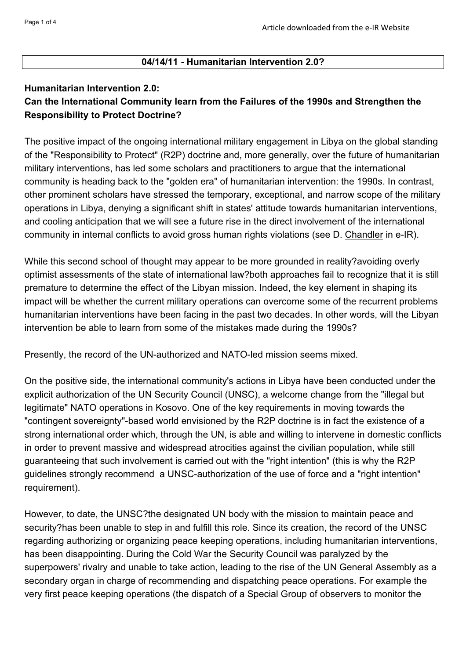## **04/14/11 - Humanitarian Intervention 2.0?**

## **Humanitarian Intervention 2.0: Can the International Community learn from the Failures of the 1990s and Strengthen the Responsibility to Protect Doctrine?**

The positive impact of the ongoing international military engagement in Libya on the global standing of the "Responsibility to Protect" (R2P) doctrine and, more generally, over the future of humanitarian military interventions, has led some scholars and practitioners to argue that the international community is heading back to the "golden era" of humanitarian intervention: the 1990s. In contrast, other prominent scholars have stressed the temporary, exceptional, and narrow scope of the military operations in Libya, denying a significant shift in states' attitude towards humanitarian interventions, and cooling anticipation that we will see a future rise in the direct involvement of the international community in internal conflicts to avoid gross human rights violations (see D. Chandler in e-IR).

While this second school of thought may appear to be more grounded in reality?avoiding overly optimist assessments of the state of international law?both approaches fail to recognize that it is still premature to determine the effect of the Libyan mission. Indeed, the key element in shaping its impact will be whether the current military operations can overcome some of the recurrent problems humanitarian interventions have been facing in the past two decades. In other words, will the Libyan intervention be able to learn from some of the mistakes made during the 1990s?

Presently, the record of the UN-authorized and NATO-led mission seems mixed.

On the positive side, the international community's actions in Libya have been conducted under the explicit authorization of the UN Security Council (UNSC), a welcome change from the "illegal but legitimate" NATO operations in Kosovo. One of the key requirements in moving towards the "contingent sovereignty"-based world envisioned by the R2P doctrine is in fact the existence of a strong international order which, through the UN, is able and willing to intervene in domestic conflicts in order to prevent massive and widespread atrocities against the civilian population, while still guaranteeing that such involvement is carried out with the "right intention" (this is why the R2P guidelines strongly recommend a UNSC-authorization of the use of force and a "right intention" requirement).

However, to date, the UNSC?the designated UN body with the mission to maintain peace and security?has been unable to step in and fulfill this role. Since its creation, the record of the UNSC regarding authorizing or organizing peace keeping operations, including humanitarian interventions, has been disappointing. During the Cold War the Security Council was paralyzed by the superpowers' rivalry and unable to take action, leading to the rise of the UN General Assembly as a secondary organ in charge of recommending and dispatching peace operations. For example the very first peace keeping operations (the dispatch of a Special Group of observers to monitor the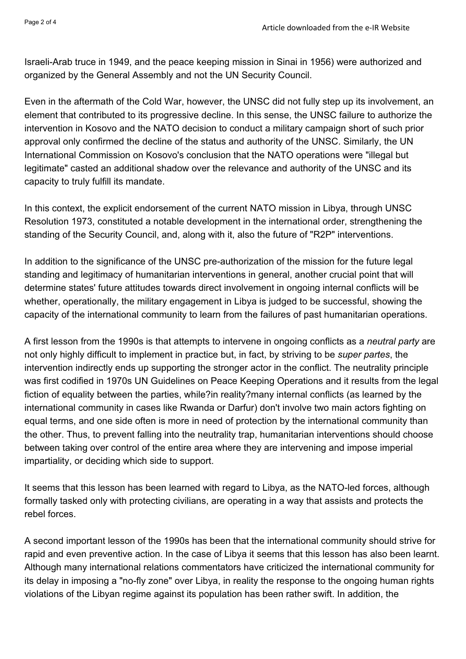Israeli-Arab truce in 1949, and the peace keeping mission in Sinai in 1956) were authorized and organized by the General Assembly and not the UN Security Council.

Even in the aftermath of the Cold War, however, the UNSC did not fully step up its involvement, an element that contributed to its progressive decline. In this sense, the UNSC failure to authorize the intervention in Kosovo and the NATO decision to conduct a military campaign short of such prior approval only confirmed the decline of the status and authority of the UNSC. Similarly, the UN International Commission on Kosovo's conclusion that the NATO operations were "illegal but legitimate" casted an additional shadow over the relevance and authority of the UNSC and its capacity to truly fulfill its mandate.

In this context, the explicit endorsement of the current NATO mission in Libya, through UNSC Resolution 1973, constituted a notable development in the international order, strengthening the standing of the Security Council, and, along with it, also the future of "R2P" interventions.

In addition to the significance of the UNSC pre-authorization of the mission for the future legal standing and legitimacy of humanitarian interventions in general, another crucial point that will determine states' future attitudes towards direct involvement in ongoing internal conflicts will be whether, operationally, the military engagement in Libya is judged to be successful, showing the capacity of the international community to learn from the failures of past humanitarian operations.

A first lesson from the 1990s is that attempts to intervene in ongoing conflicts as a *neutral party* are not only highly difficult to implement in practice but, in fact, by striving to be *super partes*, the intervention indirectly ends up supporting the stronger actor in the conflict. The neutrality principle was first codified in 1970s UN Guidelines on Peace Keeping Operations and it results from the legal fiction of equality between the parties, while?in reality?many internal conflicts (as learned by the international community in cases like Rwanda or Darfur) don't involve two main actors fighting on equal terms, and one side often is more in need of protection by the international community than the other. Thus, to prevent falling into the neutrality trap, humanitarian interventions should choose between taking over control of the entire area where they are intervening and impose imperial impartiality, or deciding which side to support.

It seems that this lesson has been learned with regard to Libya, as the NATO-led forces, although formally tasked only with protecting civilians, are operating in a way that assists and protects the rebel forces.

A second important lesson of the 1990s has been that the international community should strive for rapid and even preventive action. In the case of Libya it seems that this lesson has also been learnt. Although many international relations commentators have criticized the international community for its delay in imposing a "no-fly zone" over Libya, in reality the response to the ongoing human rights violations of the Libyan regime against its population has been rather swift. In addition, the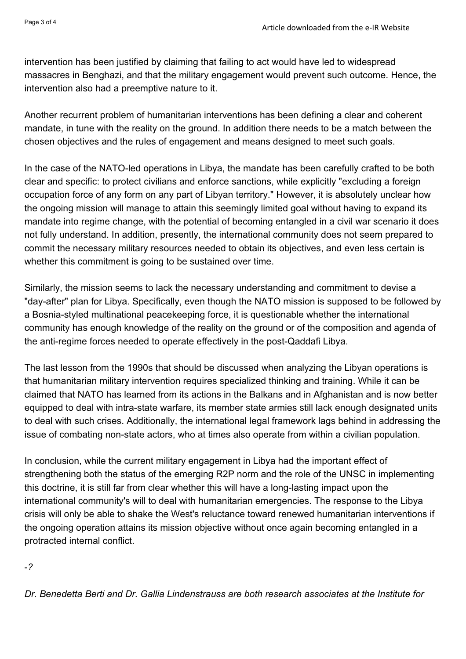intervention has been justified by claiming that failing to act would have led to widespread massacres in Benghazi, and that the military engagement would prevent such outcome. Hence, the intervention also had a preemptive nature to it.

Another recurrent problem of humanitarian interventions has been defining a clear and coherent mandate, in tune with the reality on the ground. In addition there needs to be a match between the chosen objectives and the rules of engagement and means designed to meet such goals.

In the case of the NATO-led operations in Libya, the mandate has been carefully crafted to be both clear and specific: to protect civilians and enforce sanctions, while explicitly "excluding a foreign occupation force of any form on any part of Libyan territory." However, it is absolutely unclear how the ongoing mission will manage to attain this seemingly limited goal without having to expand its mandate into regime change, with the potential of becoming entangled in a civil war scenario it does not fully understand. In addition, presently, the international community does not seem prepared to commit the necessary military resources needed to obtain its objectives, and even less certain is whether this commitment is going to be sustained over time.

Similarly, the mission seems to lack the necessary understanding and commitment to devise a "day-after" plan for Libya. Specifically, even though the NATO mission is supposed to be followed by a Bosnia-styled multinational peacekeeping force, it is questionable whether the international community has enough knowledge of the reality on the ground or of the composition and agenda of the anti-regime forces needed to operate effectively in the post-Qaddafi Libya.

The last lesson from the 1990s that should be discussed when analyzing the Libyan operations is that humanitarian military intervention requires specialized thinking and training. While it can be claimed that NATO has learned from its actions in the Balkans and in Afghanistan and is now better equipped to deal with intra-state warfare, its member state armies still lack enough designated units to deal with such crises. Additionally, the international legal framework lags behind in addressing the issue of combating non-state actors, who at times also operate from within a civilian population.

In conclusion, while the current military engagement in Libya had the important effect of strengthening both the status of the emerging R2P norm and the role of the UNSC in implementing this doctrine, it is still far from clear whether this will have a long-lasting impact upon the international community's will to deal with humanitarian emergencies. The response to the Libya crisis will only be able to shake the West's reluctance toward renewed humanitarian interventions if the ongoing operation attains its mission objective without once again becoming entangled in a protracted internal conflict.

-*?*

*Dr. Benedetta Berti and Dr. Gallia Lindenstrauss are both research associates at the Institute for*